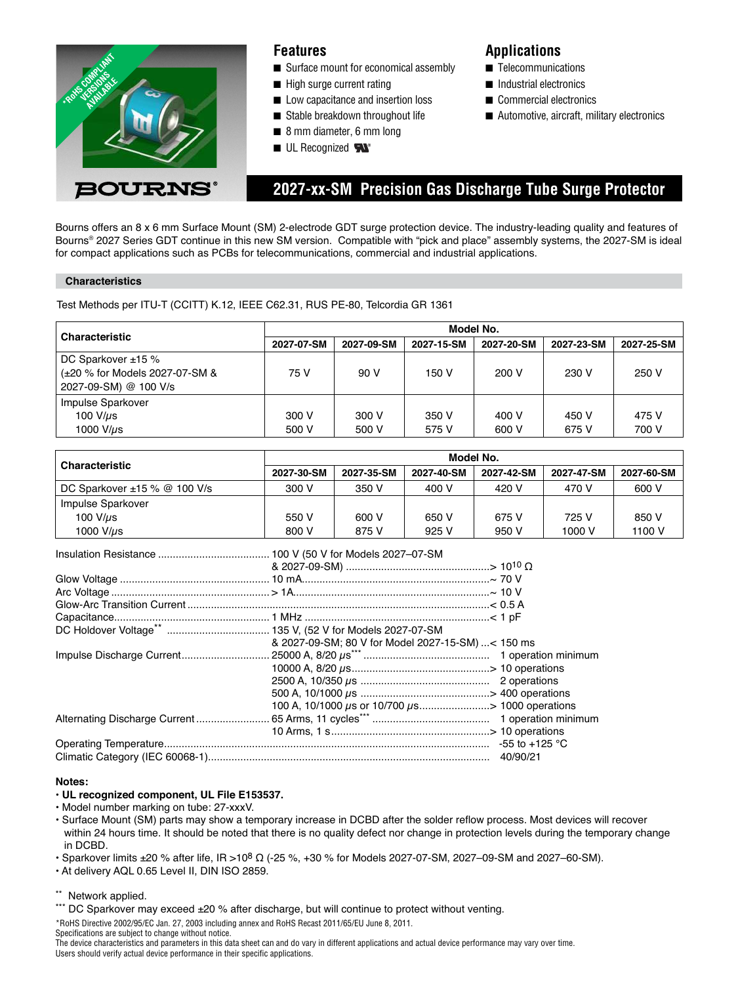

### **Features**

- Surface mount for economical assembly
- High surge current rating
- Low capacitance and insertion loss
- Stable breakdown throughout life
- 8 mm diameter, 6 mm long
- UL Recognized

## **Applications**

- Telecommunications
- Industrial electronics
- Commercial electronics
- Automotive, aircraft, military electronics

# **2027-xx-SM Precision Gas Discharge Tube Surge Protector**

Bourns offers an 8 x 6 mm Surface Mount (SM) 2-electrode GDT surge protection device. The industry-leading quality and features of Bourns® 2027 Series GDT continue in this new SM version. Compatible with "pick and place" assembly systems, the 2027-SM is ideal for compact applications such as PCBs for telecommunications, commercial and industrial applications.

### **Characteristics**

Test Methods per ITU-T (CCITT) K.12, IEEE C62.31, RUS PE-80, Telcordia GR 1361

| <b>Characteristic</b>          | Model No.  |            |            |            |            |            |
|--------------------------------|------------|------------|------------|------------|------------|------------|
|                                | 2027-07-SM | 2027-09-SM | 2027-15-SM | 2027-20-SM | 2027-23-SM | 2027-25-SM |
| DC Sparkover $±15%$            |            |            |            |            |            |            |
| (±20 % for Models 2027-07-SM & | 75 V       | 90 V       | 150 V      | 200 V      | 230 V      | 250 V      |
| 2027-09-SM) @ 100 V/s          |            |            |            |            |            |            |
| Impulse Sparkover              |            |            |            |            |            |            |
| 100 $V/\mu s$                  | 300 V      | 300 V      | 350 V      | 400 V      | 450 V      | 475 V      |
| 1000 $V/\mu s$                 | 500 V      | 500 V      | 575 V      | 600 V      | 675 V      | 700 V      |

| <b>Characteristic</b>             | Model No.  |            |            |            |            |            |
|-----------------------------------|------------|------------|------------|------------|------------|------------|
|                                   | 2027-30-SM | 2027-35-SM | 2027-40-SM | 2027-42-SM | 2027-47-SM | 2027-60-SM |
| DC Sparkover $\pm 15$ % @ 100 V/s | 300 V      | 350 V      | 400 V      | 420 V      | 470 V      | 600 V      |
| Impulse Sparkover                 |            |            |            |            |            |            |
| 100 $V/\mu s$                     | 550 V      | 600 V      | 650 V      | 675 V      | 725 V      | 850 V      |
| 1000 V/us                         | 800 V      | 875 V      | 925 V      | 950 V      | 1000 V     | 1100 V     |

|  | & 2027-09-SM; 80 V for Model 2027-15-SM) < 150 ms         |  |
|--|-----------------------------------------------------------|--|
|  |                                                           |  |
|  |                                                           |  |
|  |                                                           |  |
|  |                                                           |  |
|  | 100 A, 10/1000 $\mu$ s or 10/700 $\mu$ s> 1000 operations |  |
|  |                                                           |  |
|  |                                                           |  |
|  |                                                           |  |
|  |                                                           |  |

#### **Notes:**

### **• UL recognized component, UL File E153537.**

- Model number marking on tube: 27-xxxV.
- Surface Mount (SM) parts may show a temporary increase in DCBD after the solder reflow process. Most devices will recover within 24 hours time. It should be noted that there is no quality defect nor change in protection levels during the temporary change in DCBD.
- Sparkover limits  $±20$  % after life, IR >10<sup>8</sup> Ω (-25 %, +30 % for Models 2027-07-SM, 2027-09-SM and 2027-60-SM).
- At delivery AQL 0.65 Level II, DIN ISO 2859.

\*\* Network applied.

\*\*\* DC Sparkover may exceed ±20 % after discharge, but will continue to protect without venting.

\*RoHS Directive 2002/95/EC Jan. 27, 2003 including annex and RoHS Recast 2011/65/EU June 8, 2011. Specifications are subject to change without notice.

The device characteristics and parameters in this data sheet can and do vary in different applications and actual device performance may vary over time. Users should verify actual device performance in their specific applications.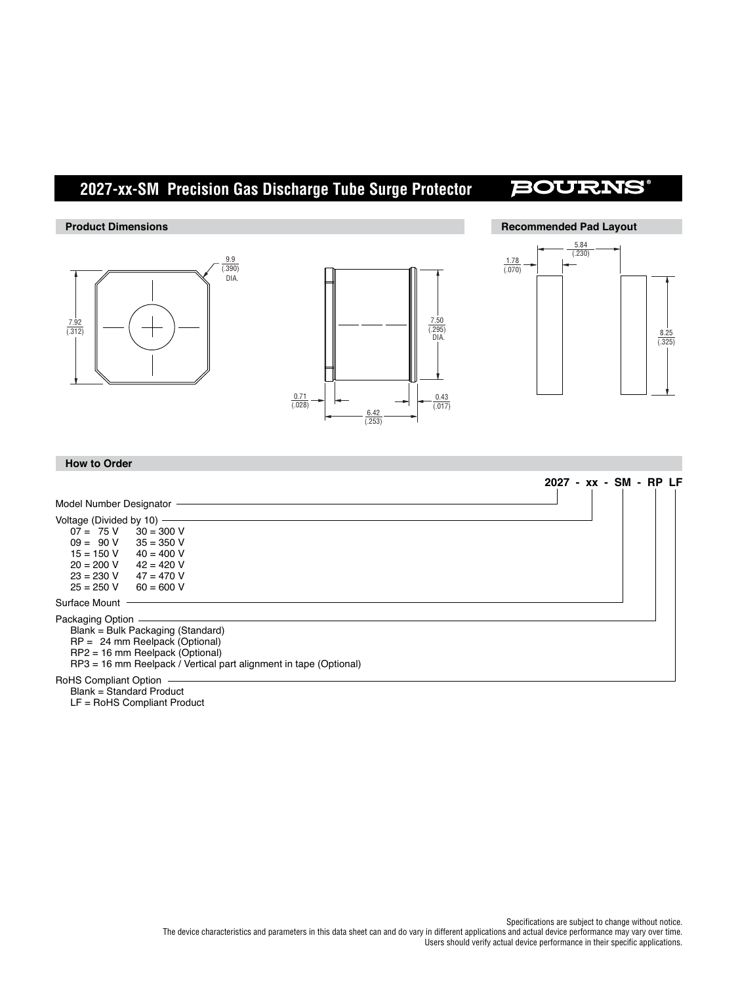# **2027-xx-SM Precision Gas Discharge Tube Surge Protector**

## **BOURNS**



LF = RoHS Compliant Product